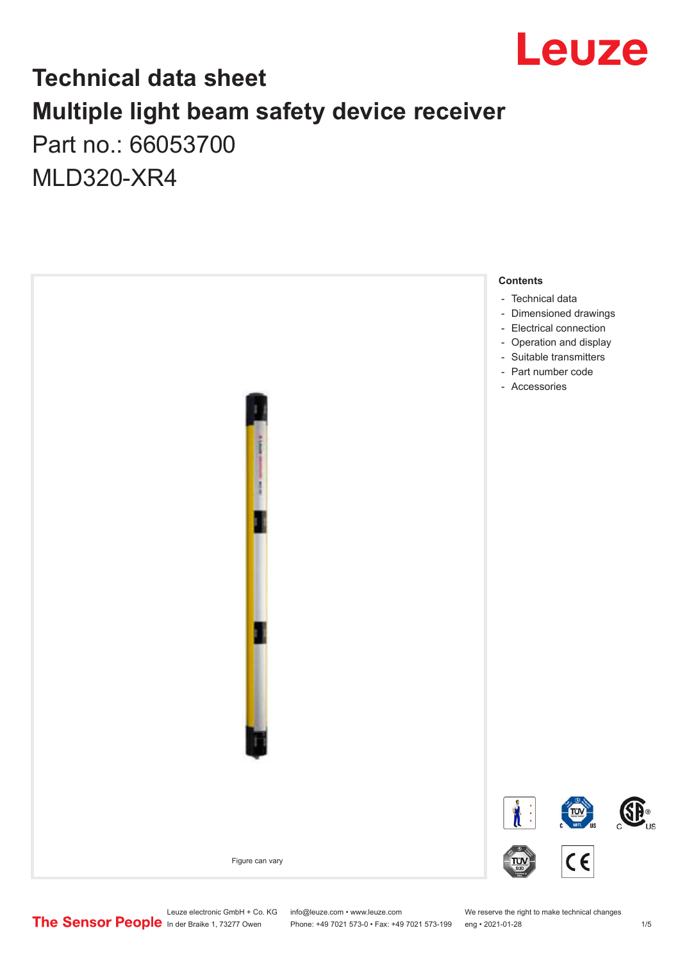

### **Technical data sheet Multiple light beam safety device receiver** Part no.: 66053700

MLD320-XR4



Leuze electronic GmbH + Co. KG info@leuze.com • www.leuze.com We reserve the right to make technical changes<br>
The Sensor People in der Braike 1, 73277 Owen Phone: +49 7021 573-0 • Fax: +49 7021 573-199 eng • 2021-01-28

Phone: +49 7021 573-0 • Fax: +49 7021 573-199 eng • 2021-01-28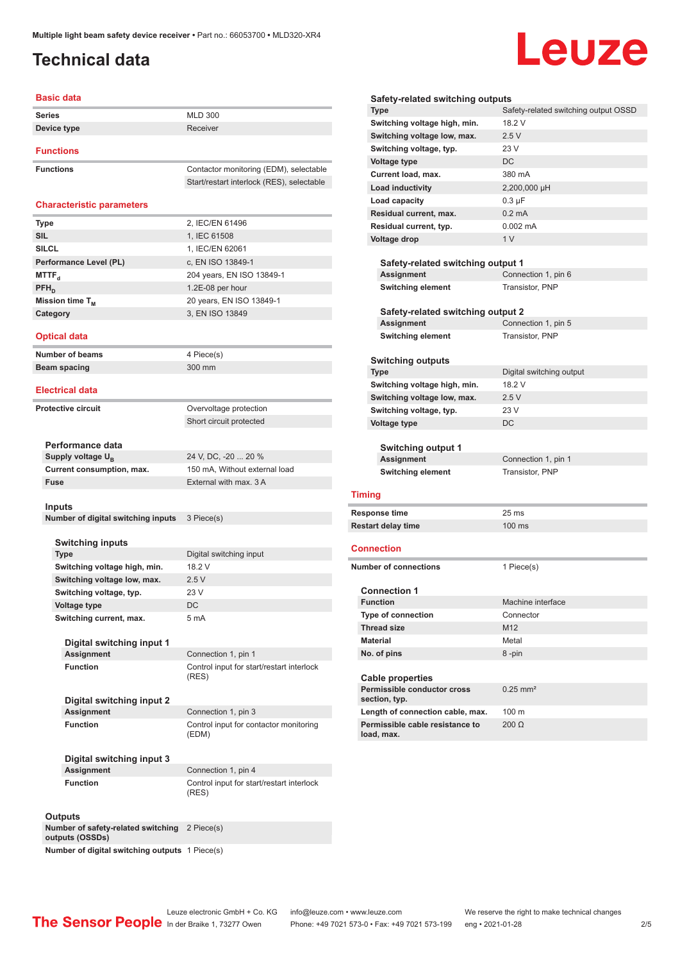### <span id="page-1-0"></span>**Technical data**

# Leuze

| <b>Basic data</b>                                  |                                                                  |
|----------------------------------------------------|------------------------------------------------------------------|
| <b>Series</b>                                      | <b>MLD 300</b>                                                   |
| Device type                                        | Receiver                                                         |
|                                                    |                                                                  |
| <b>Functions</b>                                   |                                                                  |
| <b>Functions</b>                                   | Contactor monitoring (EDM), selectable                           |
|                                                    | Start/restart interlock (RES), selectable                        |
| <b>Characteristic parameters</b>                   |                                                                  |
|                                                    |                                                                  |
| <b>Type</b>                                        | 2, IEC/EN 61496                                                  |
| <b>SIL</b>                                         | 1, IEC 61508                                                     |
| <b>SILCL</b>                                       | 1, IEC/EN 62061                                                  |
| Performance Level (PL)<br><b>MTTF</b> <sub>d</sub> | c, EN ISO 13849-1<br>204 years, EN ISO 13849-1                   |
| $PFH_{D}$                                          | 1.2E-08 per hour                                                 |
| Mission time T <sub>M</sub>                        | 20 years, EN ISO 13849-1                                         |
| Category                                           | 3, EN ISO 13849                                                  |
|                                                    |                                                                  |
| <b>Optical data</b>                                |                                                                  |
| <b>Number of beams</b>                             | 4 Piece(s)                                                       |
| Beam spacing                                       | 300 mm                                                           |
|                                                    |                                                                  |
| <b>Electrical data</b>                             |                                                                  |
| <b>Protective circuit</b>                          | Overvoltage protection                                           |
|                                                    | Short circuit protected                                          |
|                                                    |                                                                  |
| Performance data                                   |                                                                  |
| Supply voltage $U_{\rm R}$                         | 24 V, DC, -20  20 %<br>150 mA, Without external load             |
| Current consumption, max.<br>Fuse                  | External with max. 3 A                                           |
|                                                    |                                                                  |
| Inputs                                             |                                                                  |
| Number of digital switching inputs                 | 3 Piece(s)                                                       |
|                                                    |                                                                  |
| <b>Switching inputs</b><br><b>Type</b>             | Digital switching input                                          |
| Switching voltage high, min.                       | 18.2 V                                                           |
| Switching voltage low, max.                        | 2.5V                                                             |
| Switching voltage, typ.                            | 23 V                                                             |
| Voltage type                                       | DC                                                               |
| Switching current, max.                            | 5 mA                                                             |
|                                                    |                                                                  |
| Digital switching input 1<br><b>Assignment</b>     |                                                                  |
| <b>Function</b>                                    | Connection 1, pin 1<br>Control input for start/restart interlock |
|                                                    | (RES)                                                            |
|                                                    |                                                                  |
| Digital switching input 2                          |                                                                  |
| <b>Assignment</b>                                  | Connection 1, pin 3                                              |
| <b>Function</b>                                    | Control input for contactor monitoring<br>(EDM)                  |
|                                                    |                                                                  |
| Digital switching input 3                          |                                                                  |
| <b>Assignment</b>                                  | Connection 1, pin 4                                              |
| <b>Function</b>                                    | Control input for start/restart interlock                        |
|                                                    | (RES)                                                            |
| <b>Outputs</b>                                     |                                                                  |
|                                                    |                                                                  |

| Safety-related switching outputs<br><b>Type</b> | Safety-related switching output OSSD |  |  |
|-------------------------------------------------|--------------------------------------|--|--|
| Switching voltage high, min.                    | 18.2 V                               |  |  |
| Switching voltage low, max.                     | 2.5V                                 |  |  |
| Switching voltage, typ.                         | 23 V                                 |  |  |
|                                                 | DC                                   |  |  |
| <b>Voltage type</b>                             |                                      |  |  |
| Current load, max.                              | 380 mA                               |  |  |
| <b>Load inductivity</b>                         | 2,200,000 µH                         |  |  |
| Load capacity                                   | $0.3 \mu F$                          |  |  |
| Residual current, max.                          | $0.2 \text{ mA}$                     |  |  |
| Residual current, typ.                          | $0.002 \, \text{mA}$                 |  |  |
| <b>Voltage drop</b>                             | 1 <sub>V</sub>                       |  |  |
|                                                 |                                      |  |  |
| Safety-related switching output 1               |                                      |  |  |
| Assignment                                      | Connection 1, pin 6                  |  |  |
| <b>Switching element</b>                        | Transistor, PNP                      |  |  |
|                                                 |                                      |  |  |
| Safety-related switching output 2<br>Assignment | Connection 1, pin 5                  |  |  |
| <b>Switching element</b>                        | Transistor, PNP                      |  |  |
|                                                 |                                      |  |  |
| <b>Switching outputs</b>                        |                                      |  |  |
| <b>Type</b>                                     | Digital switching output             |  |  |
| Switching voltage high, min.                    | 18.2 V                               |  |  |
| Switching voltage low, max.                     | 2.5V                                 |  |  |
| Switching voltage, typ.                         | 23 V                                 |  |  |
|                                                 | DC                                   |  |  |
|                                                 |                                      |  |  |
| <b>Voltage type</b>                             |                                      |  |  |
|                                                 |                                      |  |  |
| <b>Switching output 1</b>                       |                                      |  |  |
| Assignment                                      | Connection 1, pin 1                  |  |  |
| <b>Switching element</b>                        | Transistor, PNP                      |  |  |
| <b>Timing</b>                                   |                                      |  |  |
| Response time                                   | 25 <sub>ms</sub>                     |  |  |
| <b>Restart delay time</b>                       | 100 ms                               |  |  |
|                                                 |                                      |  |  |
| Connection                                      |                                      |  |  |
| <b>Number of connections</b>                    |                                      |  |  |
|                                                 | 1 Piece(s)                           |  |  |
| <b>Connection 1</b>                             |                                      |  |  |
| Function                                        | Machine interface                    |  |  |
| <b>Type of connection</b>                       | Connector                            |  |  |
| <b>Thread size</b>                              | M <sub>12</sub>                      |  |  |
| <b>Material</b>                                 | Metal                                |  |  |
| No. of pins                                     | 8-pin                                |  |  |
|                                                 |                                      |  |  |
| <b>Cable properties</b>                         |                                      |  |  |
| Permissible conductor cross                     | $0.25$ mm <sup>2</sup>               |  |  |
| section, typ.                                   |                                      |  |  |
| Length of connection cable, max.                | 100 m                                |  |  |
| Permissible cable resistance to<br>load, max.   | $200 \Omega$                         |  |  |

**Number of safety-related switching**  2 Piece(s) **outputs (OSSDs)**

**Number of digital switching outputs** 1 Piece(s)



Phone: +49 7021 573-0 • Fax: +49 7021 573-199 eng • 2021-01-28 2 2 /5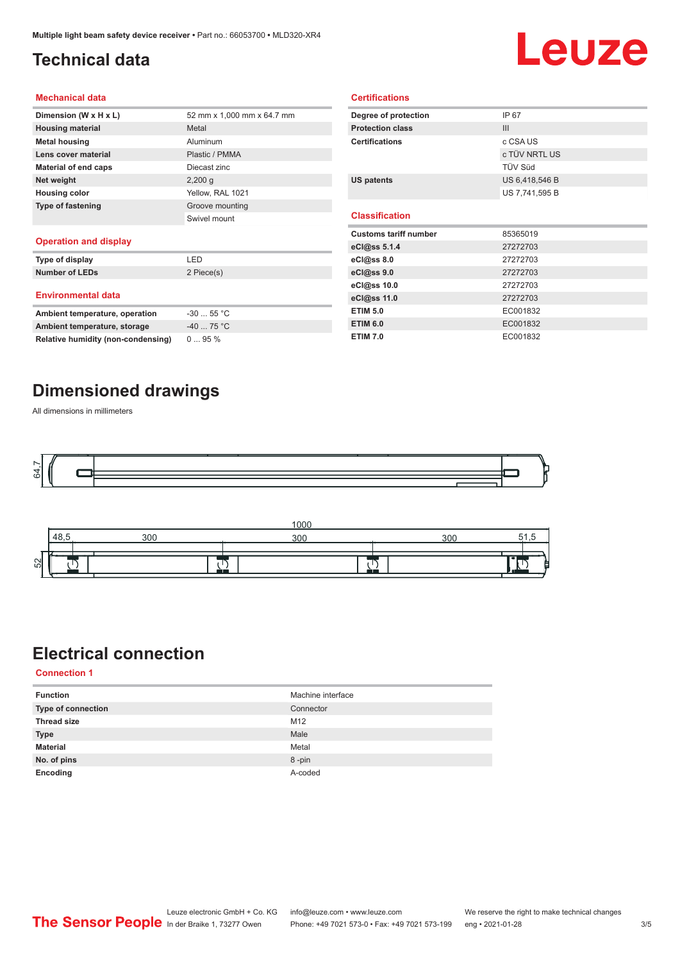### <span id="page-2-0"></span>**Technical data**

## Leuze

#### **Mechanical data**

| Dimension (W x H x L)    | 52 mm x 1,000 mm x 64.7 mm |
|--------------------------|----------------------------|
| <b>Housing material</b>  | Metal                      |
| <b>Metal housing</b>     | Aluminum                   |
| Lens cover material      | Plastic / PMMA             |
| Material of end caps     | Diecast zinc               |
| Net weight               | $2,200$ q                  |
| <b>Housing color</b>     | Yellow, RAL 1021           |
| <b>Type of fastening</b> | Groove mounting            |
|                          | Swivel mount               |
| Openedian and diamins:   |                            |

#### **Operation and display**

| Type of display                | I FD        |
|--------------------------------|-------------|
| <b>Number of LEDs</b>          | 2 Piece(s)  |
| <b>Environmental data</b>      |             |
| Ambient temperature, operation | $-3055$ °C  |
| Ambient temperature, storage   | $-40$ 75 °C |

| Degree of protection         | IP 67          |  |
|------------------------------|----------------|--|
| <b>Protection class</b>      | III            |  |
| <b>Certifications</b>        | c CSA US       |  |
|                              | c TÜV NRTL US  |  |
|                              | TÜV Süd        |  |
| <b>US patents</b>            | US 6,418,546 B |  |
|                              | US 7,741,595 B |  |
|                              |                |  |
| <b>Classification</b>        |                |  |
|                              |                |  |
| <b>Customs tariff number</b> | 85365019       |  |
| eCl@ss 5.1.4                 | 27272703       |  |
| eCl@ss 8.0                   | 27272703       |  |
| eCl@ss 9.0                   | 27272703       |  |
| eCl@ss 10.0                  | 27272703       |  |
| eCl@ss 11.0                  | 27272703       |  |
| <b>ETIM 5.0</b>              | EC001832       |  |
| <b>ETIM 6.0</b>              | EC001832       |  |

**Certifications**

#### **Dimensioned drawings**

**Relative humidity (non-condensing)** 0 ... 95 %

All dimensions in millimeters





#### **Electrical connection**

**Connection 1**

| <b>Function</b>    | Machine interface |
|--------------------|-------------------|
| Type of connection | Connector         |
| <b>Thread size</b> | M12               |
| <b>Type</b>        | Male              |
| <b>Material</b>    | Metal             |
| No. of pins        | 8-pin             |
| Encoding           | A-coded           |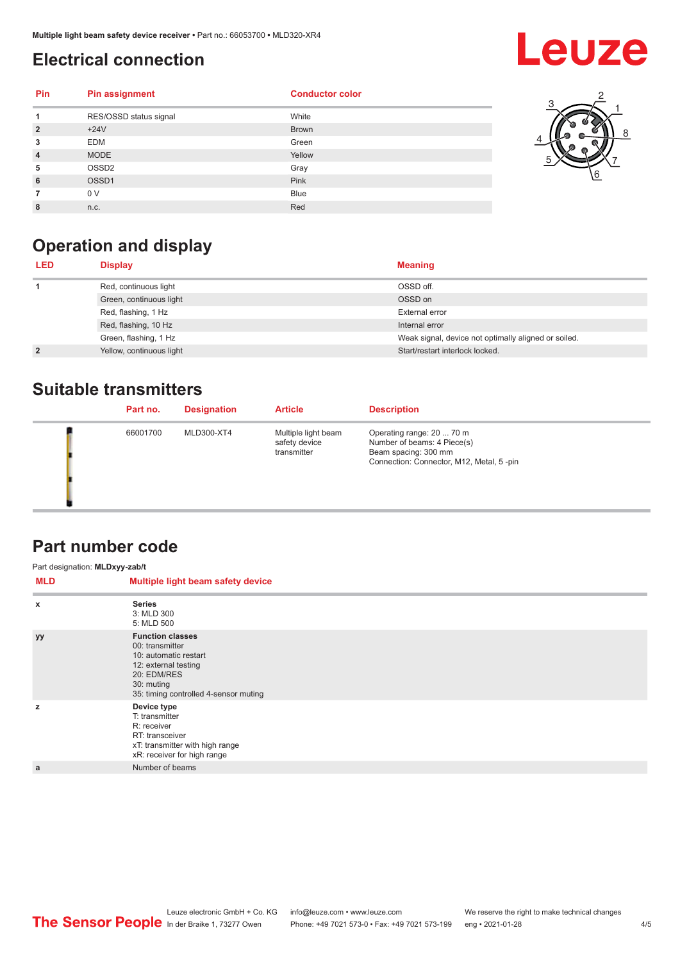#### <span id="page-3-0"></span>**Electrical connection**

## **Leuze**

3

5

1 2

8

6 7

| Pin            | <b>Pin assignment</b>  | <b>Conductor color</b> |  |
|----------------|------------------------|------------------------|--|
|                | RES/OSSD status signal | White                  |  |
| $\overline{2}$ | $+24V$                 | <b>Brown</b>           |  |
| 3              | <b>EDM</b>             | Green                  |  |
| $\overline{4}$ | <b>MODE</b>            | Yellow                 |  |
| 5              | OSSD <sub>2</sub>      | Gray                   |  |
| 6              | OSSD1                  | Pink                   |  |
|                | 0 V                    | <b>Blue</b>            |  |
| 8              | n.c.                   | Red                    |  |



| LED            | <b>Display</b>           | <b>Meaning</b>                                       |
|----------------|--------------------------|------------------------------------------------------|
|                | Red, continuous light    | OSSD off.                                            |
|                | Green, continuous light  | OSSD on                                              |
|                | Red, flashing, 1 Hz      | External error                                       |
|                | Red, flashing, 10 Hz     | Internal error                                       |
|                | Green, flashing, 1 Hz    | Weak signal, device not optimally aligned or soiled. |
| $\overline{2}$ | Yellow, continuous light | Start/restart interlock locked.                      |

#### **Suitable transmitters**

| Part no. | <b>Designation</b> | <b>Article</b>                                      | <b>Description</b>                                                                                                           |
|----------|--------------------|-----------------------------------------------------|------------------------------------------------------------------------------------------------------------------------------|
| 66001700 | MLD300-XT4         | Multiple light beam<br>safety device<br>transmitter | Operating range: 20  70 m<br>Number of beams: 4 Piece(s)<br>Beam spacing: 300 mm<br>Connection: Connector, M12, Metal, 5-pin |

#### **Part number code**

| Part designation: MLDxyy-zab/t |                                                                                                                                                                   |
|--------------------------------|-------------------------------------------------------------------------------------------------------------------------------------------------------------------|
| MLD                            | Multiple light beam safety device                                                                                                                                 |
| x                              | <b>Series</b><br>3: MLD 300<br>5: MLD 500                                                                                                                         |
| yy                             | <b>Function classes</b><br>00: transmitter<br>10: automatic restart<br>12: external testing<br>20: EDM/RES<br>30: muting<br>35: timing controlled 4-sensor muting |
| z                              | Device type<br>T: transmitter<br>R: receiver<br>RT: transceiver<br>xT: transmitter with high range<br>xR: receiver for high range                                 |
| a                              | Number of beams                                                                                                                                                   |